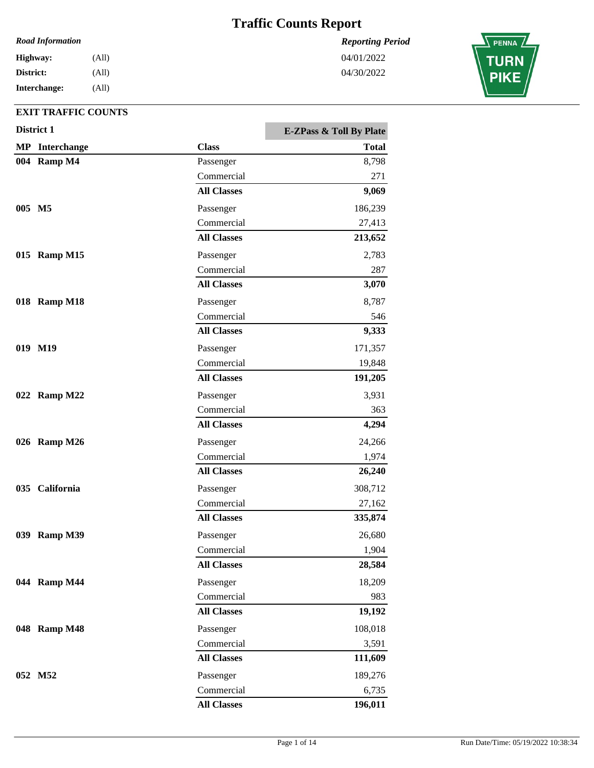*Reporting Period*

04/01/2022 04/30/2022

### *Road Information*

**Interchange: District: Highway:** (All) (All) (All)

|        | District 1            |                    | E-ZPass & Toll By Plate |
|--------|-----------------------|--------------------|-------------------------|
|        | <b>MP</b> Interchange | <b>Class</b>       | <b>Total</b>            |
|        | 004 Ramp M4           | Passenger          | 8,798                   |
|        |                       | Commercial         | 271                     |
|        |                       | <b>All Classes</b> | 9,069                   |
| 005 M5 |                       | Passenger          | 186,239                 |
|        |                       | Commercial         | 27,413                  |
|        |                       | <b>All Classes</b> | 213,652                 |
|        | 015 Ramp M15          | Passenger          | 2,783                   |
|        |                       | Commercial         | 287                     |
|        |                       | <b>All Classes</b> | 3,070                   |
|        | 018 Ramp M18          | Passenger          | 8,787                   |
|        |                       | Commercial         | 546                     |
|        |                       | <b>All Classes</b> | 9,333                   |
|        | 019 M19               | Passenger          | 171,357                 |
|        |                       | Commercial         | 19,848                  |
|        |                       | <b>All Classes</b> | 191,205                 |
|        | 022 Ramp M22          | Passenger          | 3,931                   |
|        |                       | Commercial         | 363                     |
|        |                       | <b>All Classes</b> | 4,294                   |
|        | 026 Ramp M26          | Passenger          | 24,266                  |
|        |                       | Commercial         | 1,974                   |
|        |                       | <b>All Classes</b> | 26,240                  |
|        | 035 California        | Passenger          | 308,712                 |
|        |                       | Commercial         | 27,162                  |
|        |                       | <b>All Classes</b> | 335,874                 |
|        | 039 Ramp M39          | Passenger          | 26,680                  |
|        |                       | Commercial         | 1,904                   |
|        |                       | <b>All Classes</b> | 28,584                  |
|        | 044 Ramp M44          | Passenger          | 18,209                  |
|        |                       | Commercial         | 983                     |
|        |                       | <b>All Classes</b> | 19,192                  |
|        | 048 Ramp M48          | Passenger          | 108,018                 |
|        |                       | Commercial         | 3,591                   |
|        |                       | <b>All Classes</b> | 111,609                 |
|        |                       |                    |                         |
|        | 052 M52               | Passenger          | 189,276                 |
|        |                       | Commercial         | 6,735                   |
|        |                       | <b>All Classes</b> | 196,011                 |

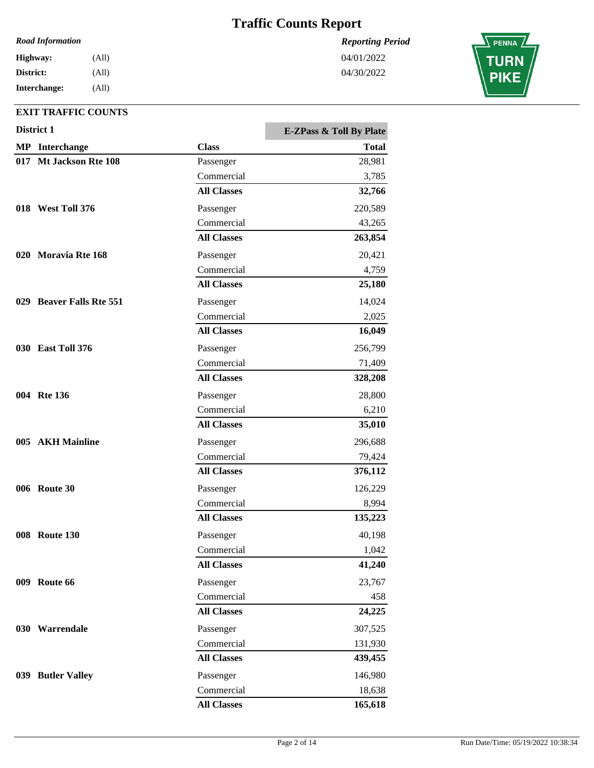*Reporting Period*

04/01/2022 04/30/2022

*Road Information*

**Interchange: District: Highway:** (All) (All) (All)

|     | District 1                  |                    | <b>E-ZPass &amp; Toll By Plate</b> |
|-----|-----------------------------|--------------------|------------------------------------|
|     | <b>MP</b> Interchange       | <b>Class</b>       | <b>Total</b>                       |
| 017 | Mt Jackson Rte 108          | Passenger          | 28,981                             |
|     |                             | Commercial         | 3,785                              |
|     |                             | <b>All Classes</b> | 32,766                             |
|     | 018 West Toll 376           | Passenger          | 220,589                            |
|     |                             | Commercial         | 43,265                             |
|     |                             | <b>All Classes</b> | 263,854                            |
| 020 | <b>Moravia Rte 168</b>      | Passenger          | 20,421                             |
|     |                             | Commercial         | 4,759                              |
|     |                             | <b>All Classes</b> | 25,180                             |
| 029 | <b>Beaver Falls Rte 551</b> | Passenger          | 14,024                             |
|     |                             | Commercial         | 2,025                              |
|     |                             | <b>All Classes</b> | 16,049                             |
|     | <b>030 East Toll 376</b>    | Passenger          | 256,799                            |
|     |                             | Commercial         | 71,409                             |
|     |                             | <b>All Classes</b> | 328,208                            |
|     | 004 Rte 136                 | Passenger          | 28,800                             |
|     |                             | Commercial         | 6,210                              |
|     |                             | <b>All Classes</b> | 35,010                             |
|     | 005 AKH Mainline            | Passenger          | 296,688                            |
|     |                             | Commercial         | 79,424                             |
|     |                             | <b>All Classes</b> | 376,112                            |
|     | <b>006</b> Route 30         | Passenger          | 126,229                            |
|     |                             | Commercial         | 8,994                              |
|     |                             | <b>All Classes</b> | 135,223                            |
|     | <b>008</b> Route 130        | Passenger          | 40,198                             |
|     |                             | Commercial         | 1,042                              |
|     |                             | <b>All Classes</b> | 41,240                             |
|     | <b>009</b> Route 66         | Passenger          | 23,767                             |
|     |                             | Commercial         | 458                                |
|     |                             | <b>All Classes</b> | 24,225                             |
|     | 030 Warrendale              | Passenger          | 307,525                            |
|     |                             | Commercial         | 131,930                            |
|     |                             | <b>All Classes</b> | 439,455                            |
|     | 039 Butler Valley           | Passenger          | 146,980                            |
|     |                             | Commercial         | 18,638                             |
|     |                             | <b>All Classes</b> | 165,618                            |

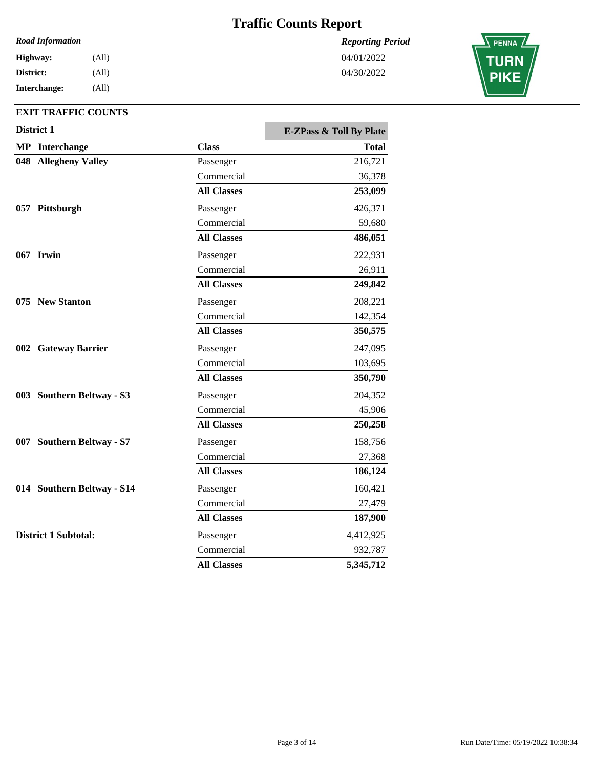*Reporting Period*

04/01/2022 04/30/2022

#### *Road Information*

**Interchange: District: Highway:** (All) (All) (All)

| District 1 |                             | <b>E-ZPass &amp; Toll By Plate</b> |              |
|------------|-----------------------------|------------------------------------|--------------|
|            | <b>MP</b> Interchange       | <b>Class</b>                       | <b>Total</b> |
| 048        | <b>Allegheny Valley</b>     | Passenger                          | 216,721      |
|            |                             | Commercial                         | 36,378       |
|            |                             | <b>All Classes</b>                 | 253,099      |
|            | 057 Pittsburgh              | Passenger                          | 426,371      |
|            |                             | Commercial                         | 59,680       |
|            |                             | <b>All Classes</b>                 | 486,051      |
|            | 067 Irwin                   | Passenger                          | 222,931      |
|            |                             | Commercial                         | 26,911       |
|            |                             | <b>All Classes</b>                 | 249,842      |
|            | 075 New Stanton             | Passenger                          | 208,221      |
|            |                             | Commercial                         | 142,354      |
|            |                             | <b>All Classes</b>                 | 350,575      |
|            | 002 Gateway Barrier         | Passenger                          | 247,095      |
|            |                             | Commercial                         | 103,695      |
|            |                             | <b>All Classes</b>                 | 350,790      |
|            | 003 Southern Beltway - S3   | Passenger                          | 204,352      |
|            |                             | Commercial                         | 45,906       |
|            |                             | <b>All Classes</b>                 | 250,258      |
|            | 007 Southern Beltway - S7   | Passenger                          | 158,756      |
|            |                             | Commercial                         | 27,368       |
|            |                             | <b>All Classes</b>                 | 186,124      |
|            | 014 Southern Beltway - S14  | Passenger                          | 160,421      |
|            |                             | Commercial                         | 27,479       |
|            |                             | <b>All Classes</b>                 | 187,900      |
|            | <b>District 1 Subtotal:</b> | Passenger                          | 4,412,925    |
|            |                             | Commercial                         | 932,787      |
|            |                             | <b>All Classes</b>                 | 5,345,712    |

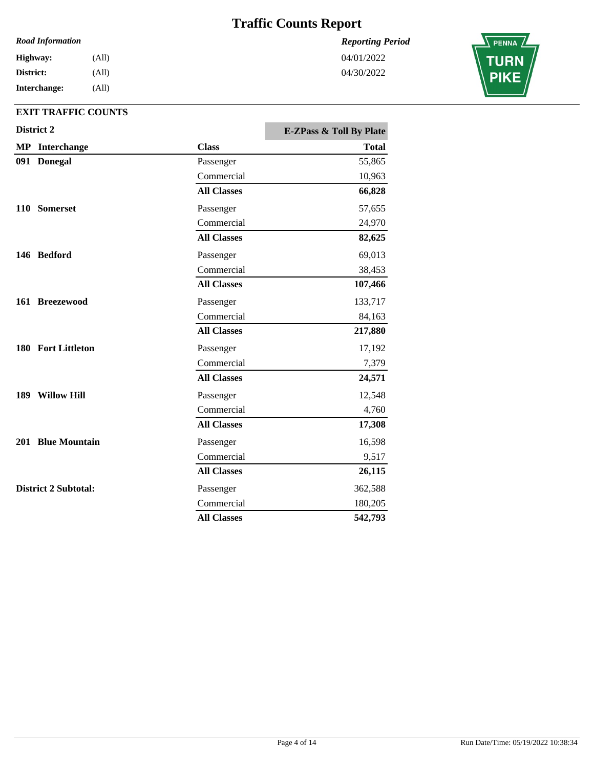#### *Road Information*

**Interchange: District: Highway:** (All) (All) (All)

## **EXIT TRAFFIC COUNTS**

|     | District 2                  |                    | <b>E-ZPass &amp; Toll By Plate</b> |
|-----|-----------------------------|--------------------|------------------------------------|
|     | <b>MP</b> Interchange       | <b>Class</b>       | <b>Total</b>                       |
|     | 091 Donegal                 | Passenger          | 55,865                             |
|     |                             | Commercial         | 10,963                             |
|     |                             | <b>All Classes</b> | 66,828                             |
|     | 110 Somerset                | Passenger          | 57,655                             |
|     |                             | Commercial         | 24,970                             |
|     |                             | <b>All Classes</b> | 82,625                             |
|     | 146 Bedford                 | Passenger          | 69,013                             |
|     |                             | Commercial         | 38,453                             |
|     |                             | <b>All Classes</b> | 107,466                            |
|     | 161 Breezewood              | Passenger          | 133,717                            |
|     |                             | Commercial         | 84,163                             |
|     |                             | <b>All Classes</b> | 217,880                            |
|     | 180 Fort Littleton          | Passenger          | 17,192                             |
|     |                             | Commercial         | 7,379                              |
|     |                             | <b>All Classes</b> | 24,571                             |
| 189 | <b>Willow Hill</b>          | Passenger          | 12,548                             |
|     |                             | Commercial         | 4,760                              |
|     |                             | <b>All Classes</b> | 17,308                             |
|     | 201 Blue Mountain           | Passenger          | 16,598                             |
|     |                             | Commercial         | 9,517                              |
|     |                             | <b>All Classes</b> | 26,115                             |
|     | <b>District 2 Subtotal:</b> | Passenger          | 362,588                            |
|     |                             | Commercial         | 180,205                            |
|     |                             | <b>All Classes</b> | 542,793                            |

*Reporting Period* 04/01/2022

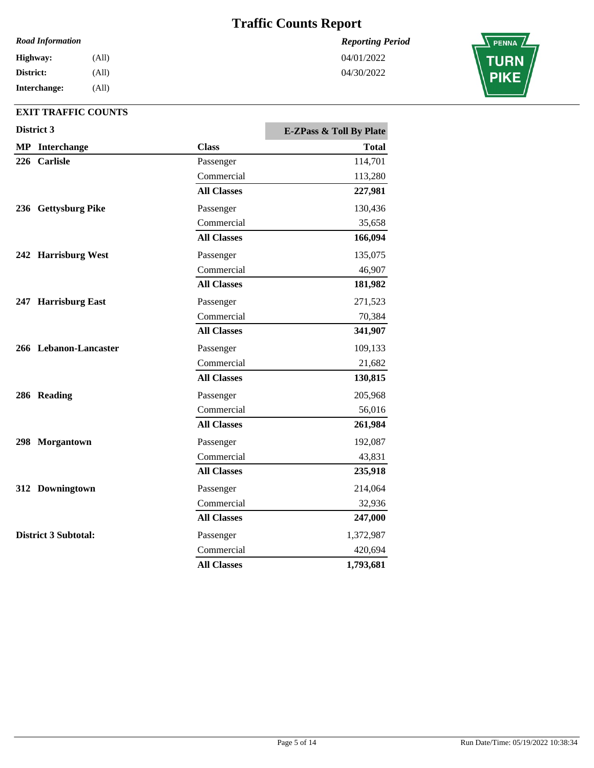*Reporting Period*

04/01/2022 04/30/2022

#### *Road Information*

**Interchange: District: Highway:** (All) (All) (All)

| District 3                  |                    | <b>E-ZPass &amp; Toll By Plate</b> |
|-----------------------------|--------------------|------------------------------------|
| <b>MP</b> Interchange       | <b>Class</b>       | <b>Total</b>                       |
| 226 Carlisle                | Passenger          | 114,701                            |
|                             | Commercial         | 113,280                            |
|                             | <b>All Classes</b> | 227,981                            |
| 236 Gettysburg Pike         | Passenger          | 130,436                            |
|                             | Commercial         | 35,658                             |
|                             | <b>All Classes</b> | 166,094                            |
| 242 Harrisburg West         | Passenger          | 135,075                            |
|                             | Commercial         | 46,907                             |
|                             | <b>All Classes</b> | 181,982                            |
| 247 Harrisburg East         | Passenger          | 271,523                            |
|                             | Commercial         | 70,384                             |
|                             | <b>All Classes</b> | 341,907                            |
| 266 Lebanon-Lancaster       | Passenger          | 109,133                            |
|                             | Commercial         | 21,682                             |
|                             | <b>All Classes</b> | 130,815                            |
| 286 Reading                 | Passenger          | 205,968                            |
|                             | Commercial         | 56,016                             |
|                             | <b>All Classes</b> | 261,984                            |
| 298 Morgantown              | Passenger          | 192,087                            |
|                             | Commercial         | 43,831                             |
|                             | <b>All Classes</b> | 235,918                            |
| 312 Downingtown             | Passenger          | 214,064                            |
|                             | Commercial         | 32,936                             |
|                             | <b>All Classes</b> | 247,000                            |
| <b>District 3 Subtotal:</b> | Passenger          | 1,372,987                          |
|                             | Commercial         | 420,694                            |
|                             | <b>All Classes</b> | 1,793,681                          |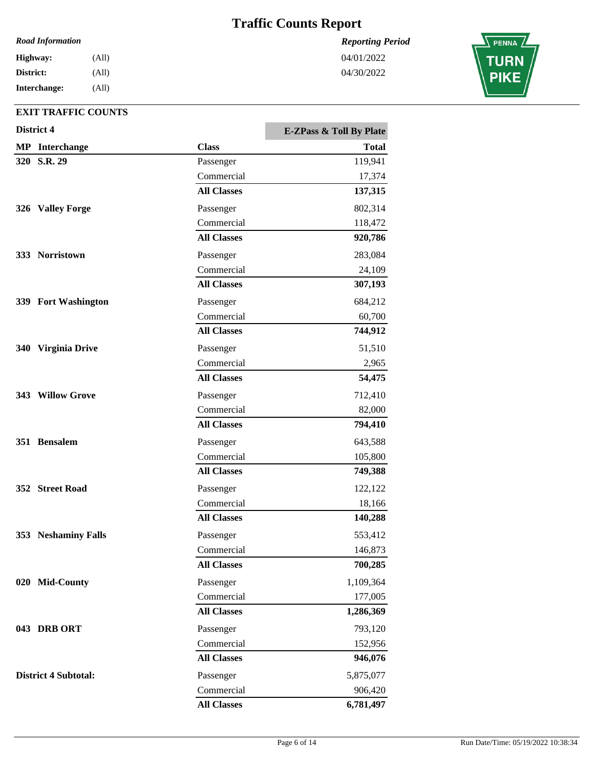#### *Road Information*

| <b>Highway:</b> | (All) |
|-----------------|-------|
| District:       | (All) |
| Interchange:    | (All) |

## **EXIT TRAFFIC COUNTS**

|            | District 4                  |                    | <b>E-ZPass &amp; Toll By Plate</b> |
|------------|-----------------------------|--------------------|------------------------------------|
|            | <b>MP</b> Interchange       | <b>Class</b>       | <b>Total</b>                       |
|            | 320 S.R. 29                 | Passenger          | 119,941                            |
|            |                             | Commercial         | 17,374                             |
|            |                             | <b>All Classes</b> | 137,315                            |
|            | 326 Valley Forge            | Passenger          | 802,314                            |
|            |                             | Commercial         | 118,472                            |
|            |                             | <b>All Classes</b> | 920,786                            |
|            | 333 Norristown              | Passenger          | 283,084                            |
|            |                             | Commercial         | 24,109                             |
|            |                             | <b>All Classes</b> | 307,193                            |
|            | 339 Fort Washington         | Passenger          | 684,212                            |
|            |                             | Commercial         | 60,700                             |
|            |                             | <b>All Classes</b> | 744,912                            |
| <b>340</b> | <b>Virginia Drive</b>       | Passenger          | 51,510                             |
|            |                             | Commercial         | 2,965                              |
|            |                             | <b>All Classes</b> | 54,475                             |
|            | 343 Willow Grove            | Passenger          | 712,410                            |
|            |                             | Commercial         | 82,000                             |
|            |                             | <b>All Classes</b> | 794,410                            |
|            | 351 Bensalem                | Passenger          | 643,588                            |
|            |                             | Commercial         | 105,800                            |
|            |                             | <b>All Classes</b> | 749,388                            |
|            | 352 Street Road             | Passenger          | 122,122                            |
|            |                             | Commercial         | 18,166                             |
|            |                             | <b>All Classes</b> | 140,288                            |
|            | 353 Neshaminy Falls         | Passenger          | 553,412                            |
|            |                             | Commercial         | 146,873                            |
|            |                             | <b>All Classes</b> | 700,285                            |
|            | 020 Mid-County              | Passenger          | 1,109,364                          |
|            |                             | Commercial         | 177,005                            |
|            |                             | <b>All Classes</b> | 1,286,369                          |
|            | 043 DRB ORT                 | Passenger          | 793,120                            |
|            |                             | Commercial         | 152,956                            |
|            |                             | <b>All Classes</b> | 946,076                            |
|            | <b>District 4 Subtotal:</b> | Passenger          | 5,875,077                          |
|            |                             | Commercial         | 906,420                            |
|            |                             | <b>All Classes</b> | 6,781,497                          |

*Reporting Period* 04/01/2022

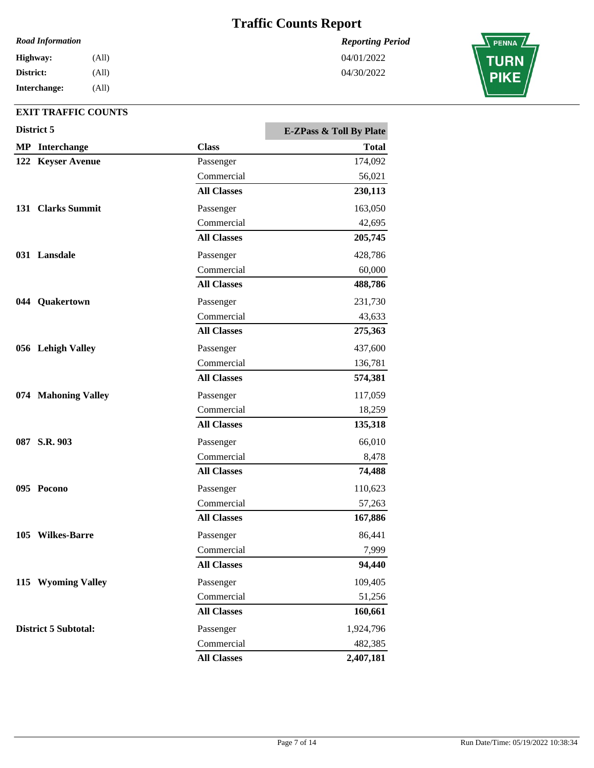*Reporting Period*

04/01/2022 04/30/2022

#### *Road Information*

| Highway:     | (All) |
|--------------|-------|
| District:    | (All) |
| Interchange: | (All) |

| District 5                  |                    | <b>E-ZPass &amp; Toll By Plate</b> |
|-----------------------------|--------------------|------------------------------------|
| <b>MP</b> Interchange       | <b>Class</b>       | <b>Total</b>                       |
| 122 Keyser Avenue           | Passenger          | 174,092                            |
|                             | Commercial         | 56,021                             |
|                             | <b>All Classes</b> | 230,113                            |
| 131 Clarks Summit           | Passenger          | 163,050                            |
|                             | Commercial         | 42,695                             |
|                             | <b>All Classes</b> | 205,745                            |
| 031 Lansdale                | Passenger          | 428,786                            |
|                             | Commercial         | 60,000                             |
|                             | <b>All Classes</b> | 488,786                            |
| 044 Quakertown              | Passenger          | 231,730                            |
|                             | Commercial         | 43,633                             |
|                             | <b>All Classes</b> | 275,363                            |
| 056 Lehigh Valley           | Passenger          | 437,600                            |
|                             | Commercial         | 136,781                            |
|                             | <b>All Classes</b> | 574,381                            |
| 074 Mahoning Valley         | Passenger          | 117,059                            |
|                             | Commercial         | 18,259                             |
|                             | <b>All Classes</b> | 135,318                            |
| 087 S.R. 903                | Passenger          | 66,010                             |
|                             | Commercial         | 8,478                              |
|                             | <b>All Classes</b> | 74,488                             |
| 095 Pocono                  | Passenger          | 110,623                            |
|                             | Commercial         | 57,263                             |
|                             | <b>All Classes</b> | 167,886                            |
| 105 Wilkes-Barre            | Passenger          | 86,441                             |
|                             | Commercial         | 7,999                              |
|                             | <b>All Classes</b> | 94,440                             |
| 115 Wyoming Valley          | Passenger          | 109,405                            |
|                             | Commercial         | 51,256                             |
|                             | <b>All Classes</b> | 160,661                            |
| <b>District 5 Subtotal:</b> | Passenger          | 1,924,796                          |
|                             | Commercial         | 482,385                            |
|                             | <b>All Classes</b> | 2,407,181                          |

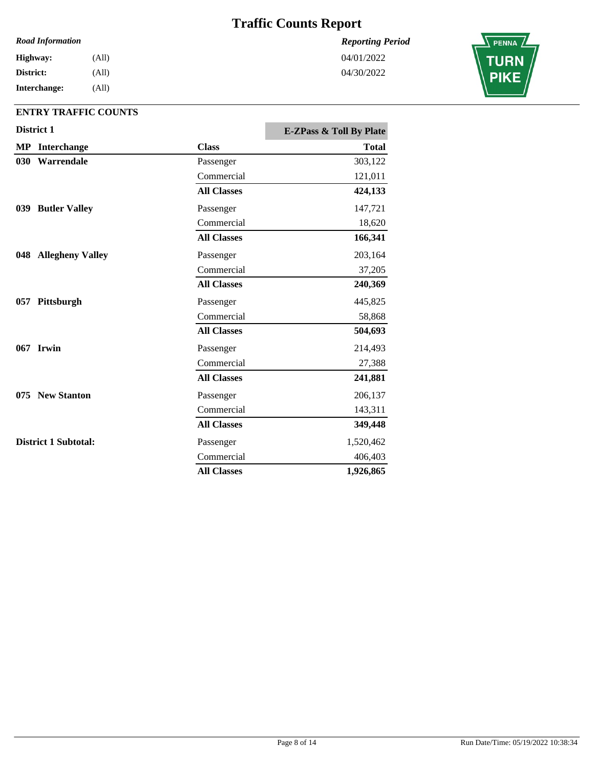#### *Road Information*

| Highway:     | (All) |
|--------------|-------|
| District:    | (All) |
| Interchange: | (All) |

### **ENTRY TRAFFIC COUNTS**

|     | District 1                  |                    | <b>E-ZPass &amp; Toll By Plate</b> |
|-----|-----------------------------|--------------------|------------------------------------|
|     | <b>MP</b> Interchange       | <b>Class</b>       | <b>Total</b>                       |
| 030 | Warrendale                  | Passenger          | 303,122                            |
|     |                             | Commercial         | 121,011                            |
|     |                             | <b>All Classes</b> | 424,133                            |
|     | 039 Butler Valley           | Passenger          | 147,721                            |
|     |                             | Commercial         | 18,620                             |
|     |                             | <b>All Classes</b> | 166,341                            |
|     | 048 Allegheny Valley        | Passenger          | 203,164                            |
|     |                             | Commercial         | 37,205                             |
|     |                             | <b>All Classes</b> | 240,369                            |
|     | 057 Pittsburgh              | Passenger          | 445,825                            |
|     |                             | Commercial         | 58,868                             |
|     |                             | <b>All Classes</b> | 504,693                            |
|     | 067 Irwin                   | Passenger          | 214,493                            |
|     |                             | Commercial         | 27,388                             |
|     |                             | <b>All Classes</b> | 241,881                            |
|     | 075 New Stanton             | Passenger          | 206,137                            |
|     |                             | Commercial         | 143,311                            |
|     |                             | <b>All Classes</b> | 349,448                            |
|     | <b>District 1 Subtotal:</b> | Passenger          | 1,520,462                          |
|     |                             | Commercial         | 406,403                            |
|     |                             | <b>All Classes</b> | 1,926,865                          |

*Reporting Period* 04/01/2022

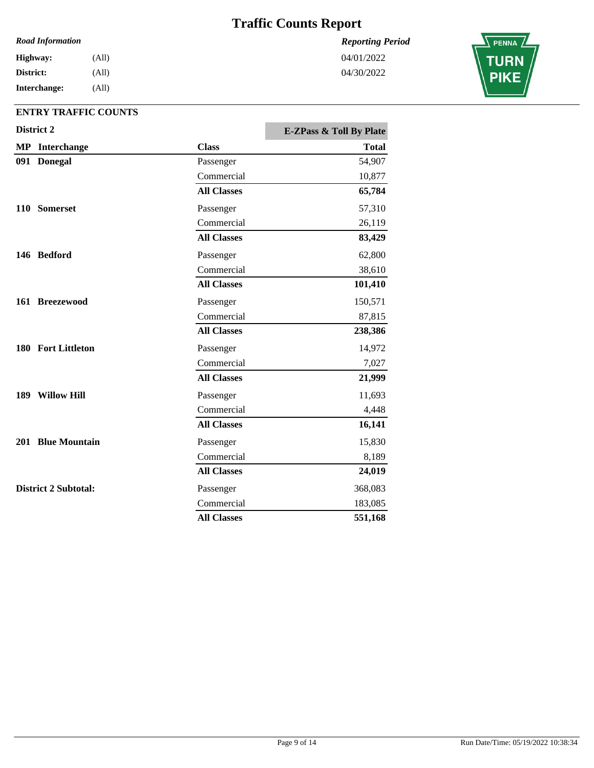#### *Road Information*

**Interchange: District: Highway:** (All) (All) (All)

### **ENTRY TRAFFIC COUNTS**

| District 2                  |                    | <b>E-ZPass &amp; Toll By Plate</b> |
|-----------------------------|--------------------|------------------------------------|
| <b>MP</b> Interchange       | <b>Class</b>       | <b>Total</b>                       |
| 091 Donegal                 | Passenger          | 54,907                             |
|                             | Commercial         | 10,877                             |
|                             | <b>All Classes</b> | 65,784                             |
| 110 Somerset                | Passenger          | 57,310                             |
|                             | Commercial         | 26,119                             |
|                             | <b>All Classes</b> | 83,429                             |
| 146 Bedford                 | Passenger          | 62,800                             |
|                             | Commercial         | 38,610                             |
|                             | <b>All Classes</b> | 101,410                            |
| 161 Breezewood              | Passenger          | 150,571                            |
|                             | Commercial         | 87,815                             |
|                             | <b>All Classes</b> | 238,386                            |
| 180 Fort Littleton          | Passenger          | 14,972                             |
|                             | Commercial         | 7,027                              |
|                             | <b>All Classes</b> | 21,999                             |
| 189 Willow Hill             | Passenger          | 11,693                             |
|                             | Commercial         | 4,448                              |
|                             | <b>All Classes</b> | 16,141                             |
| 201 Blue Mountain           | Passenger          | 15,830                             |
|                             | Commercial         | 8,189                              |
|                             | <b>All Classes</b> | 24,019                             |
| <b>District 2 Subtotal:</b> | Passenger          | 368,083                            |
|                             | Commercial         | 183,085                            |
|                             | <b>All Classes</b> | 551,168                            |

*Reporting Period*



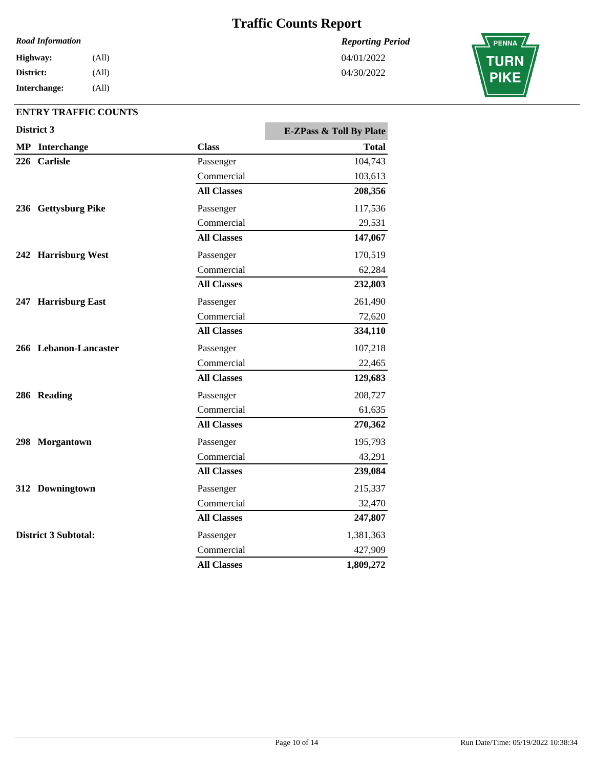#### *Road Information*

**Interchange: District: Highway:** (All) (All) (All)

### **ENTRY TRAFFIC COUNTS**

|     | District 3                  |                    | <b>E-ZPass &amp; Toll By Plate</b> |
|-----|-----------------------------|--------------------|------------------------------------|
|     | <b>MP</b> Interchange       | <b>Class</b>       | <b>Total</b>                       |
| 226 | <b>Carlisle</b>             | Passenger          | 104,743                            |
|     |                             | Commercial         | 103,613                            |
|     |                             | <b>All Classes</b> | 208,356                            |
|     | 236 Gettysburg Pike         | Passenger          | 117,536                            |
|     |                             | Commercial         | 29,531                             |
|     |                             | <b>All Classes</b> | 147,067                            |
|     | 242 Harrisburg West         | Passenger          | 170,519                            |
|     |                             | Commercial         | 62,284                             |
|     |                             | <b>All Classes</b> | 232,803                            |
|     | 247 Harrisburg East         | Passenger          | 261,490                            |
|     |                             | Commercial         | 72,620                             |
|     |                             | <b>All Classes</b> | 334,110                            |
|     | 266 Lebanon-Lancaster       | Passenger          | 107,218                            |
|     |                             | Commercial         | 22,465                             |
|     |                             | <b>All Classes</b> | 129,683                            |
|     | 286 Reading                 | Passenger          | 208,727                            |
|     |                             | Commercial         | 61,635                             |
|     |                             | <b>All Classes</b> | 270,362                            |
|     | 298 Morgantown              | Passenger          | 195,793                            |
|     |                             | Commercial         | 43,291                             |
|     |                             | <b>All Classes</b> | 239,084                            |
|     | 312 Downingtown             | Passenger          | 215,337                            |
|     |                             | Commercial         | 32,470                             |
|     |                             | <b>All Classes</b> | 247,807                            |
|     | <b>District 3 Subtotal:</b> | Passenger          | 1,381,363                          |
|     |                             | Commercial         | 427,909                            |
|     |                             | <b>All Classes</b> | 1,809,272                          |

*Reporting Period* 04/01/2022

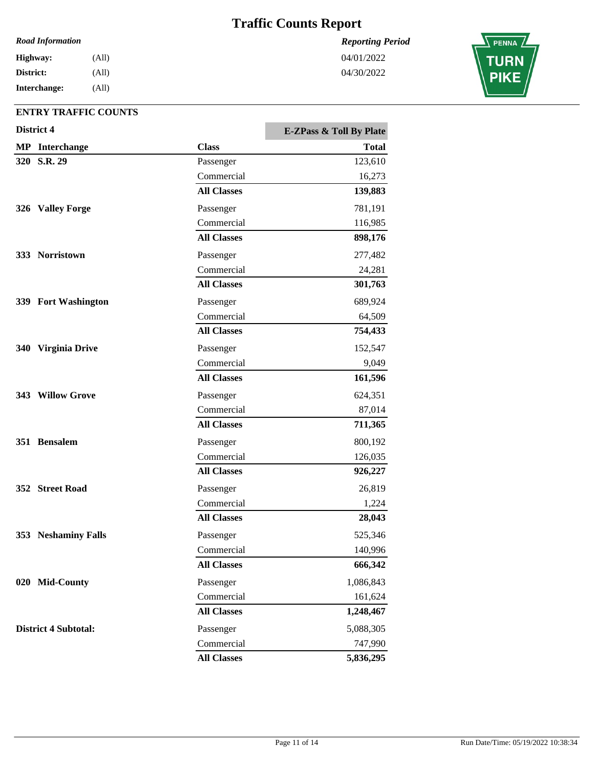#### *Road Information*

**Interchange: District: Highway:** (All) (All) (All)

### **ENTRY TRAFFIC COUNTS**

|     | District 4                  |                    | <b>E-ZPass &amp; Toll By Plate</b> |
|-----|-----------------------------|--------------------|------------------------------------|
|     | <b>MP</b> Interchange       | <b>Class</b>       | Total                              |
|     | 320 S.R. 29                 | Passenger          | 123,610                            |
|     |                             | Commercial         | 16,273                             |
|     |                             | <b>All Classes</b> | 139,883                            |
|     | 326 Valley Forge            | Passenger          | 781,191                            |
|     |                             | Commercial         | 116,985                            |
|     |                             | <b>All Classes</b> | 898,176                            |
|     | 333 Norristown              | Passenger          | 277,482                            |
|     |                             | Commercial         | 24,281                             |
|     |                             | <b>All Classes</b> | 301,763                            |
|     | 339 Fort Washington         | Passenger          | 689,924                            |
|     |                             | Commercial         | 64,509                             |
|     |                             | <b>All Classes</b> | 754,433                            |
| 340 | <b>Virginia Drive</b>       | Passenger          | 152,547                            |
|     |                             | Commercial         | 9,049                              |
|     |                             | <b>All Classes</b> | 161,596                            |
|     | 343 Willow Grove            | Passenger          | 624,351                            |
|     |                             | Commercial         | 87,014                             |
|     |                             | <b>All Classes</b> | 711,365                            |
|     | 351 Bensalem                | Passenger          | 800,192                            |
|     |                             | Commercial         | 126,035                            |
|     |                             | <b>All Classes</b> | 926,227                            |
|     | 352 Street Road             | Passenger          | 26,819                             |
|     |                             | Commercial         | 1,224                              |
|     |                             | <b>All Classes</b> | 28,043                             |
|     | 353 Neshaminy Falls         | Passenger          | 525,346                            |
|     |                             | Commercial         | 140,996                            |
|     |                             | <b>All Classes</b> | 666,342                            |
|     | 020 Mid-County              | Passenger          | 1,086,843                          |
|     |                             | Commercial         | 161,624                            |
|     |                             | <b>All Classes</b> | 1,248,467                          |
|     | <b>District 4 Subtotal:</b> | Passenger          | 5,088,305                          |
|     |                             | Commercial         | 747,990                            |
|     |                             | <b>All Classes</b> | 5,836,295                          |

*Reporting Period* 04/01/2022

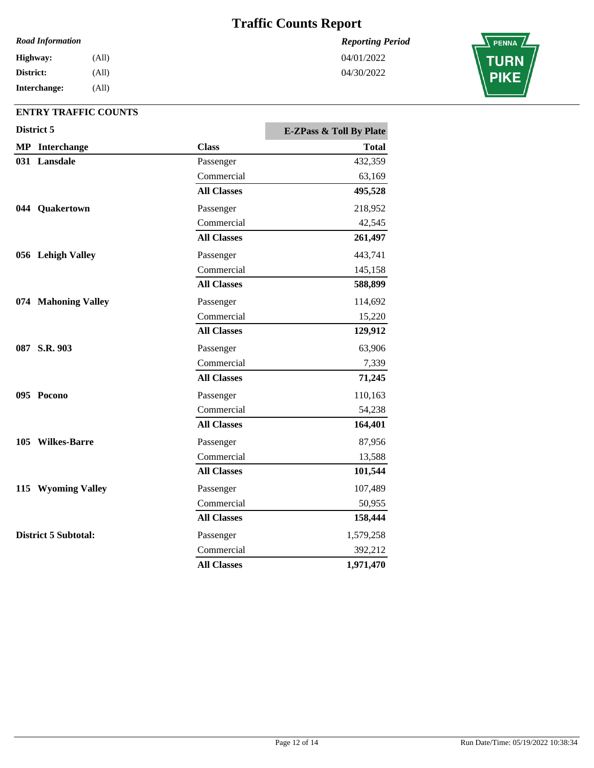#### *Road Information*

**Interchange: District: Highway:** (All) (All) (All)

### **ENTRY TRAFFIC COUNTS**

| District 5 |                       | <b>E-ZPass &amp; Toll By Plate</b> |              |
|------------|-----------------------|------------------------------------|--------------|
|            | <b>MP</b> Interchange | <b>Class</b>                       | <b>Total</b> |
|            | 031 Lansdale          | Passenger                          | 432,359      |
|            |                       | Commercial                         | 63,169       |
|            |                       | <b>All Classes</b>                 | 495,528      |
|            | 044 Quakertown        | Passenger                          | 218,952      |
|            |                       | Commercial                         | 42,545       |
|            |                       | <b>All Classes</b>                 | 261,497      |
|            | 056 Lehigh Valley     | Passenger                          | 443,741      |
|            |                       | Commercial                         | 145,158      |
|            |                       | <b>All Classes</b>                 | 588,899      |
|            | 074 Mahoning Valley   | Passenger                          | 114,692      |
|            |                       | Commercial                         | 15,220       |
|            |                       | <b>All Classes</b>                 | 129,912      |
|            | 087 S.R. 903          | Passenger                          | 63,906       |
|            |                       | Commercial                         | 7,339        |
|            |                       | <b>All Classes</b>                 | 71,245       |
|            | 095 Pocono            | Passenger                          | 110,163      |
|            |                       | Commercial                         | 54,238       |
|            |                       | <b>All Classes</b>                 | 164,401      |
|            | 105 Wilkes-Barre      | Passenger                          | 87,956       |
|            |                       | Commercial                         | 13,588       |
|            |                       | <b>All Classes</b>                 | 101,544      |
|            | 115 Wyoming Valley    | Passenger                          | 107,489      |
|            |                       | Commercial                         | 50,955       |
|            |                       | <b>All Classes</b>                 | 158,444      |
|            | District 5 Subtotal:  | Passenger                          | 1,579,258    |
|            |                       | Commercial                         | 392,212      |
|            |                       | <b>All Classes</b>                 | 1,971,470    |

*Reporting Period* 04/01/2022

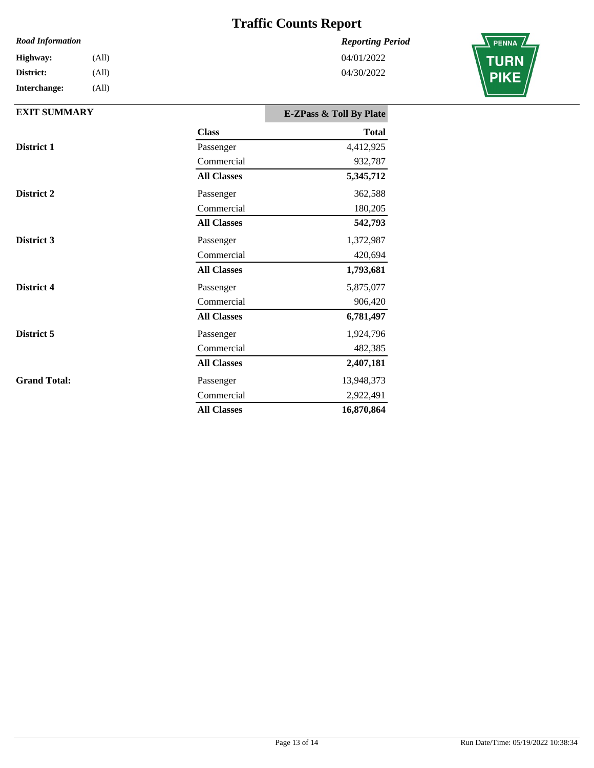### *Reporting Period*

04/01/2022 04/30/2022

| <b>Road Information</b> |       |  |
|-------------------------|-------|--|
| Highway:                | (All) |  |
| District:               | (All) |  |
| Interchange:            | (All) |  |



| <b>EXIT SUMMARY</b> |                    | <b>E-ZPass &amp; Toll By Plate</b> |
|---------------------|--------------------|------------------------------------|
|                     | <b>Class</b>       | <b>Total</b>                       |
| District 1          | Passenger          | 4,412,925                          |
|                     | Commercial         | 932,787                            |
|                     | <b>All Classes</b> | 5,345,712                          |
| District 2          | Passenger          | 362,588                            |
|                     | Commercial         | 180,205                            |
|                     | <b>All Classes</b> | 542,793                            |
| District 3          | Passenger          | 1,372,987                          |
|                     | Commercial         | 420,694                            |
|                     | <b>All Classes</b> | 1,793,681                          |
| District 4          | Passenger          | 5,875,077                          |
|                     | Commercial         | 906,420                            |
|                     | <b>All Classes</b> | 6,781,497                          |
| District 5          | Passenger          | 1,924,796                          |
|                     | Commercial         | 482,385                            |
|                     | <b>All Classes</b> | 2,407,181                          |
| <b>Grand Total:</b> | Passenger          | 13,948,373                         |
|                     | Commercial         | 2,922,491                          |
|                     | <b>All Classes</b> | 16,870,864                         |